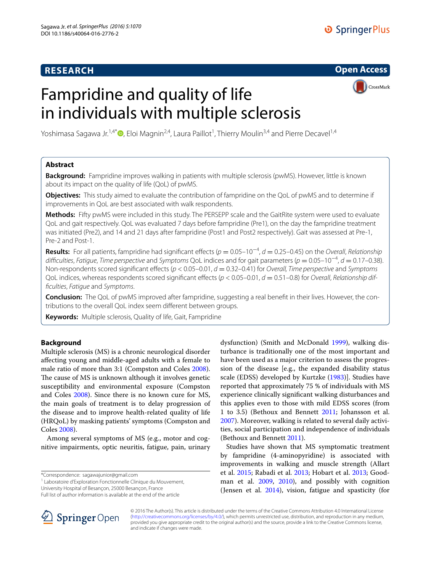# **RESEARCH**

**Open Access**

# Fampridine and quality of life in individuals with multiple sclerosis

**CrossMark** 

Yoshimasa Sagawa Jr.<sup>1,4\*</sup>®[,](http://orcid.org/0000-0002-1024-3095) Eloi Magnin<sup>2,4</sup>, Laura Paillot<sup>1</sup>, Thierry Moulin<sup>3,4</sup> and Pierre Decavel<sup>1,4</sup>

# **Abstract**

**Background:** Fampridine improves walking in patients with multiple sclerosis (pwMS). However, little is known about its impact on the quality of life (QoL) of pwMS.

**Objectives:** This study aimed to evaluate the contribution of fampridine on the QoL of pwMS and to determine if improvements in QoL are best associated with walk respondents.

**Methods:** Fifty pwMS were included in this study. The PERSEPP scale and the GaitRite system were used to evaluate QoL and gait respectively. QoL was evaluated 7 days before fampridine (Pre1), on the day the fampridine treatment was initiated (Pre2), and 14 and 21 days after fampridine (Post1 and Post2 respectively). Gait was assessed at Pre-1, Pre-2 and Post-1.

**Results:** For all patients, fampridine had significant effects ( $p = 0.05-10^{-4}$ ,  $d = 0.25-0.45$ ) on the *Overall*, *Relationship difficulties*, *Fatigue*, *Time perspective* and *Symptoms* QoL indices and for gait parameters (*<sup>p</sup>* <sup>=</sup> 0.05–10−<sup>4</sup> , *d* = 0.17–0.38). Non-respondents scored significant effects (*p* < 0.05–0.01, *d* = 0.32–0.41) for *Overall, Time perspective* and *Symptoms* QoL indices, whereas respondents scored significant effects ( $p < 0.05$ -0.01,  $d = 0.51$ -0.8) for *Overall*, *Relationship difficulties*, *Fatigue* and *Symptoms*.

**Conclusion:** The QoL of pwMS improved after fampridine, suggesting a real benefit in their lives. However, the contributions to the overall QoL index seem different between groups.

**Keywords:** Multiple sclerosis, Quality of life, Gait, Fampridine

# **Background**

Multiple sclerosis (MS) is a chronic neurological disorder affecting young and middle-aged adults with a female to male ratio of more than 3:1 (Compston and Coles [2008](#page-6-0)). The cause of MS is unknown although it involves genetic susceptibility and environmental exposure (Compston and Coles [2008\)](#page-6-0). Since there is no known cure for MS, the main goals of treatment is to delay progression of the disease and to improve health-related quality of life (HRQoL) by masking patients' symptoms (Compston and Coles [2008](#page-6-0)).

Among several symptoms of MS (e.g., motor and cognitive impairments, optic neuritis, fatigue, pain, urinary

\*Correspondence: sagawajunior@gmail.com

<sup>1</sup> Laboratoire d'Exploration Fonctionnelle Clinique du Mouvement, University Hospital of Besançon, 25000 Besançon, France

Full list of author information is available at the end of the article

dysfunction) (Smith and McDonald [1999](#page-7-0)), walking disturbance is traditionally one of the most important and have been used as a major criterion to assess the progression of the disease [e.g., the expanded disability status scale (EDSS) developed by Kurtzke ([1983\)](#page-7-1)]. Studies have reported that approximately 75 % of individuals with MS experience clinically significant walking disturbances and this applies even to those with mild EDSS scores (from 1 to 3.5) (Bethoux and Bennett [2011](#page-6-1); Johansson et al. [2007](#page-7-2)). Moreover, walking is related to several daily activities, social participation and independence of individuals (Bethoux and Bennett [2011\)](#page-6-1).

Studies have shown that MS symptomatic treatment by fampridine (4-aminopyridine) is associated with improvements in walking and muscle strength (Allart et al. [2015](#page-6-2); Rabadi et al. [2013](#page-7-3); Hobart et al. [2013;](#page-7-4) Good-man et al. [2009,](#page-7-5) [2010\)](#page-7-6), and possibly with cognition (Jensen et al. [2014](#page-7-7)), vision, fatigue and spasticity (for



© 2016 The Author(s). This article is distributed under the terms of the Creative Commons Attribution 4.0 International License [\(http://creativecommons.org/licenses/by/4.0/\)](http://creativecommons.org/licenses/by/4.0/), which permits unrestricted use, distribution, and reproduction in any medium, provided you give appropriate credit to the original author(s) and the source, provide a link to the Creative Commons license, and indicate if changes were made.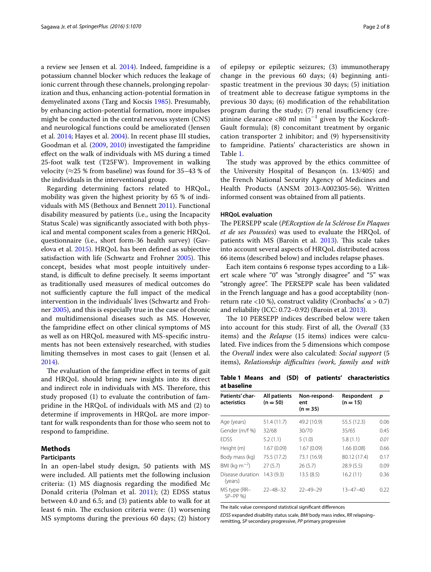a review see Jensen et al. [2014\)](#page-7-8). Indeed, fampridine is a potassium channel blocker which reduces the leakage of ionic current through these channels, prolonging repolarization and thus, enhancing action-potential formation in demyelinated axons (Targ and Kocsis [1985\)](#page-7-9). Presumably, by enhancing action-potential formation, more impulses might be conducted in the central nervous system (CNS) and neurological functions could be ameliorated (Jensen et al. [2014;](#page-7-8) Hayes et al. [2004\)](#page-7-10). In recent phase III studies, Goodman et al. [\(2009,](#page-7-5) [2010\)](#page-7-6) investigated the fampridine effect on the walk of individuals with MS during a timed 25-foot walk test (T25FW). Improvement in walking velocity ( $\approx$ 25 % from baseline) was found for 35–43 % of the individuals in the interventional group.

Regarding determining factors related to HRQoL, mobility was given the highest priority by 65 % of individuals with MS (Bethoux and Bennett [2011\)](#page-6-1). Functional disability measured by patients (i.e., using the Incapacity Status Scale) was significantly associated with both physical and mental component scales from a generic HRQoL questionnaire (i.e., short form-36 health survey) (Gavelova et al. [2015\)](#page-6-3). HRQoL has been defined as subjective satisfaction with life (Schwartz and Frohner [2005](#page-7-11)). This concept, besides what most people intuitively understand, is difficult to define precisely. It seems important as traditionally used measures of medical outcomes do not sufficiently capture the full impact of the medical intervention in the individuals' lives (Schwartz and Frohner [2005](#page-7-11)), and this is especially true in the case of chronic and multidimensional diseases such as MS. However, the fampridine effect on other clinical symptoms of MS as well as on HRQoL measured with MS-specific instruments has not been extensively researched, with studies limiting themselves in most cases to gait (Jensen et al. [2014](#page-7-8)).

The evaluation of the fampridine effect in terms of gait and HRQoL should bring new insights into its direct and indirect role in individuals with MS. Therefore, this study proposed (1) to evaluate the contribution of fampridine in the HRQoL of individuals with MS and (2) to determine if improvements in HRQoL are more important for walk respondents than for those who seem not to respond to fampridine.

# **Methods**

# **Participants**

In an open-label study design, 50 patients with MS were included. All patients met the following inclusion criteria: (1) MS diagnosis regarding the modified Mc Donald criteria (Polman et al. [2011](#page-7-12)); (2) EDSS status between 4.0 and 6.5; and (3) patients able to walk for at least 6 min. The exclusion criteria were: (1) worsening MS symptoms during the previous 60 days; (2) history of epilepsy or epileptic seizures; (3) immunotherapy change in the previous 60 days; (4) beginning antispastic treatment in the previous 30 days; (5) initiation of treatment able to decrease fatigue symptoms in the previous 30 days; (6) modification of the rehabilitation program during the study; (7) renal insufficiency (creatinine clearance <80 ml  $min^{-1}$  given by the Kockroft-Gault formula); (8) concomitant treatment by organic cation transporter 2 inhibitor; and (9) hypersensitivity to fampridine. Patients' characteristics are shown in Table [1.](#page-1-0)

The study was approved by the ethics committee of the University Hospital of Besançon (n. 13/405) and the French National Security Agency of Medicines and Health Products (ANSM 2013-A002305-56). Written informed consent was obtained from all patients.

## **HRQoL evaluation**

The PERSEPP scale (*PERception de la Sclérose En Plaques et de ses Poussées*) was used to evaluate the HRQoL of patients with MS (Baroin et al. [2013](#page-6-4)). This scale takes into account several aspects of HRQoL distributed across 66 items (described below) and includes relapse phases.

Each item contains 6 response types according to a Likert scale where "0" was "strongly disagree" and "5" was "strongly agree". The PERSEPP scale has been validated in the French language and has a good acceptability (nonreturn rate <10 %), construct validity (Cronbachs' α > 0.7) and reliability (ICC: 0.72–0.92) (Baroin et al. [2013](#page-6-4)).

The 10 PERSEPP indices described below were taken into account for this study. First of all, the *Overall* (33 items) and the *Relapse* (15 items) indices were calculated. Five indices from the 5 dimensions which compose the *Overall* index were also calculated: *Social support* (5 items), *Relationship difficulties (work, family and with* 

<span id="page-1-0"></span>**Table 1 Means and (SD) of patients' characteristics at baseline**

| Patients' char-<br>acteristics | <b>All patients</b><br>$(n = 50)$ | Non-respond-<br>ent<br>$(n = 35)$ | Respondent<br>$(n = 15)$ | p    |  |
|--------------------------------|-----------------------------------|-----------------------------------|--------------------------|------|--|
| Age (years)                    | 51.4 (11.7)                       | 49.2 (10.9)                       | 55.5 (12.3)              | 0.06 |  |
| Gender (m/f%)                  | 32/68                             | 30/70                             | 35/65                    | 0.45 |  |
| <b>FDSS</b>                    | 5.2(1.1)                          | 5(1.0)                            | 5.8(1.1)                 | 0.01 |  |
| Height (m)                     | 1.67(0.09)                        | 1.67(0.09)                        | 1.66(0.08)               | 0.66 |  |
| Body mass (kg)                 | 75.5 (17.2)                       | 73.1 (16.9)                       | 80.12 (17.4)             | 0.17 |  |
| BMI (kg $m^{-2}$ )             | 27(5.7)                           | 26(5.7)                           | 28.9(5.5)                | 0.09 |  |
| Disease duration<br>(years)    | 14.3(9.3)                         | 13.5(8.5)                         | 16.2(11)                 | 0.36 |  |
| MS type (RR-<br>$SP-PP$ %)     | $22 - 48 - 32$                    | $22 - 49 - 29$                    | $13 - 47 - 40$           | 0.22 |  |

The italic value correspond statistical significant differences

*EDSS* expanded disability status scale, *BMI* body mass index, *RR* relapsing– remitting, *SP* secondary progressive, *PP* primary progressive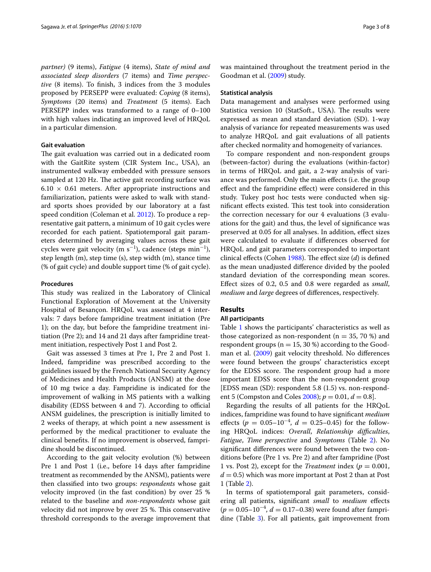*partner)* (9 items), *Fatigue* (4 items), *State of mind and associated sleep disorders* (7 items) and *Time perspective* (8 items). To finish, 3 indices from the 3 modules proposed by PERSEPP were evaluated: *Coping* (8 items), *Symptoms* (20 items) and *Treatment* (5 items). Each PERSEPP index was transformed to a range of 0–100 with high values indicating an improved level of HRQoL in a particular dimension.

# **Gait evaluation**

The gait evaluation was carried out in a dedicated room with the GaitRite system (CIR System Inc., USA), an instrumented walkway embedded with pressure sensors sampled at 120 Hz. The active gait recording surface was  $6.10 \times 0.61$  meters. After appropriate instructions and familiarization, patients were asked to walk with standard sports shoes provided by our laboratory at a fast speed condition (Coleman et al. [2012](#page-6-5)). To produce a representative gait pattern, a minimum of 10 gait cycles were recorded for each patient. Spatiotemporal gait parameters determined by averaging values across these gait cycles were gait velocity (m s<sup>-1</sup>), cadence (steps min<sup>-1</sup>), step length (m), step time (s), step width (m), stance time (% of gait cycle) and double support time (% of gait cycle).

## **Procedures**

This study was realized in the Laboratory of Clinical Functional Exploration of Movement at the University Hospital of Besançon. HRQoL was assessed at 4 intervals: 7 days before fampridine treatment initiation (Pre 1); on the day, but before the fampridine treatment initiation (Pre 2); and 14 and 21 days after fampridine treatment initiation, respectively Post 1 and Post 2.

Gait was assessed 3 times at Pre 1, Pre 2 and Post 1. Indeed, fampridine was prescribed according to the guidelines issued by the French National Security Agency of Medicines and Health Products (ANSM) at the dose of 10 mg twice a day. Fampridine is indicated for the improvement of walking in MS patients with a walking disability (EDSS between 4 and 7). According to official ANSM guidelines, the prescription is initially limited to 2 weeks of therapy, at which point a new assessment is performed by the medical practitioner to evaluate the clinical benefits. If no improvement is observed, fampridine should be discontinued.

According to the gait velocity evolution (%) between Pre 1 and Post 1 (i.e., before 14 days after fampridine treatment as recommended by the ANSM), patients were then classified into two groups: *respondents* whose gait velocity improved (in the fast condition) by over 25 % related to the baseline and *non*-*respondents* whose gait velocity did not improve by over 25 %. This conservative threshold corresponds to the average improvement that was maintained throughout the treatment period in the Goodman et al. [\(2009\)](#page-7-13) study.

# **Statistical analysis**

Data management and analyses were performed using Statistica version 10 (StatSoft., USA). The results were expressed as mean and standard deviation (SD). 1-way analysis of variance for repeated measurements was used to analyze HRQoL and gait evaluations of all patients after checked normality and homogeneity of variances.

To compare respondent and non-respondent groups (between-factor) during the evaluations (within-factor) in terms of HRQoL and gait, a 2-way analysis of variance was performed. Only the main effects (i.e. the group effect and the fampridine effect) were considered in this study. Tukey post hoc tests were conducted when significant effects existed. This test took into consideration the correction necessary for our 4 evaluations (3 evaluations for the gait) and thus, the level of significance was preserved at 0.05 for all analyses. In addition, effect sizes were calculated to evaluate if differences observed for HRQoL and gait parameters corresponded to important clinical effects (Cohen [1988](#page-6-6)). The effect size (*d*) is defined as the mean unadjusted difference divided by the pooled standard deviation of the corresponding mean scores. Effect sizes of 0.2, 0.5 and 0.8 were regarded as *small*, *medium* and *large* degrees of differences, respectively.

## **Results**

# **All participants**

Table [1](#page-1-0) shows the participants' characteristics as well as those categorized as non-respondent ( $n = 35, 70$  %) and respondent groups ( $n = 15, 30\%$ ) according to the Good-man et al. [\(2009](#page-7-13)) gait velocity threshold. No differences were found between the groups' characteristics except for the EDSS score. The respondent group had a more important EDSS score than the non-respondent group [EDSS mean (SD): respondent 5.8 (1.5) vs. non-respond-ent 5 (Compston and Coles [2008](#page-6-0));  $p = 0.01, d = 0.8$ ].

Regarding the results of all patients for the HRQoL indices, fampridine was found to have significant *medium* effects ( $p = 0.05-10^{-4}$ ,  $d = 0.25-0.45$ ) for the following HRQoL indices: *Overall*, *Relationship difficulties*, *Fatigue*, *Time perspective* and *Symptoms* (Table [2](#page-3-0)). No significant differences were found between the two conditions before (Pre 1 vs. Pre 2) and after fampridine (Post 1 vs. Post 2), except for the *Treatment* index ( $p = 0.001$ ,  $d = 0.5$ ) which was more important at Post 2 than at Post 1 (Table [2\)](#page-3-0).

In terms of spatiotemporal gait parameters, considering all patients, significant *small* to *medium* effects (*p* = 0.05–10<sup>−</sup><sup>4</sup> , *d* = 0.17–0.38) were found after fampri-dine (Table [3\)](#page-3-1). For all patients, gait improvement from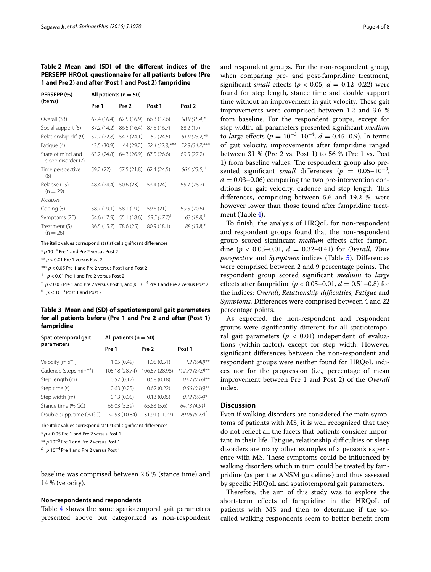<span id="page-3-0"></span>**Table 2 Mean and (SD) of the different indices of the PERSEPP HRQoL questionnaire for all patients before (Pre 1 and Pre 2) and after (Post 1 and Post 2) fampridine**

| PERSEPP (%)                             | All patients ( $n = 50$ ) |             |                        |                        |  |  |  |  |  |
|-----------------------------------------|---------------------------|-------------|------------------------|------------------------|--|--|--|--|--|
| (items)                                 | Pre 1                     | Pre 2       | Post 1                 | Post 2                 |  |  |  |  |  |
| Overall (33)                            | 62.4 (16.4)               | 62.5(16.9)  | 66.3 (17.6)            | $68.9(18.4)$ *         |  |  |  |  |  |
| Social support (5)                      | 87.2 (14.2)               | 86.5 (16.4) | 87.5 (16.7)            | 88.2 (17)              |  |  |  |  |  |
| Relationship dif. (9)                   | 52.2 (22.8)               | 54.7 (24.1) | 59 (24.5)              | $61.9(23.2)$ **        |  |  |  |  |  |
| Fatigue (4)                             | 43.5 (30.9)               | 44 (29.2)   | 52.4 (32.8)***         | 52.8 (34.7)***         |  |  |  |  |  |
| State of mind and<br>sleep disorder (7) | 63.2 (24.8)               | 64.3 (26.9) | 67.5 (26.6)            | 69.5 (27.2)            |  |  |  |  |  |
| Time perspective<br>(8)                 | 59.2 (22)                 | 57.5 (21.8) | 62.4(24.5)             | $66.6(23.5)^+$         |  |  |  |  |  |
| Relapse (15)<br>$(n = 29)$              | 48.4 (24.4)               | 50.6(23)    | 53.4 (24)              | 55.7 (28.2)            |  |  |  |  |  |
| <b>Modules</b>                          |                           |             |                        |                        |  |  |  |  |  |
| Coping (8)                              | 58.7 (19.1)               | 58.1 (19.)  | 59.6 (21)              | 59.5 (20.6)            |  |  |  |  |  |
| Symptoms (20)                           | 54.6 (17.9)               | 55.1 (18.6) | $59.5(17.7)^{\dagger}$ | 63 (18.8) <sup>†</sup> |  |  |  |  |  |
| Treatment (5)<br>$(n = 26)$             | 86.5 (15.7)               | 78.6 (25)   | 80.9 (18.1)            | $88(13.8)^{*}$         |  |  |  |  |  |

The italic values correspond statistical significant differences

\* *p* 10−<sup>4</sup> Pre 1 and Pre 2 versus Post 2

\*\* *p* < 0.01 Pre 1 versus Post 2

\*\*\* *p* < 0.05 Pre 1 and Pre 2 versus Post1 and Post 2

<sup>+</sup> *p* < 0.01 Pre 1 and Pre 2 versus Post 2

<sup>†</sup> p < 0.05 Pre 1 and Pre 2 versus Post 1, and p: 10<sup>-4</sup> Pre 1 and Pre 2 versus Post 2 ¥ *p*: < 10−<sup>3</sup> Post 1 and Post 2

<span id="page-3-1"></span>**Table 3 Mean and (SD) of spatiotemporal gait parameters for all patients before (Pre 1 and Pre 2 and after (Post 1) fampridine**

| Spatiotemporal gait         | All patients ( $n = 50$ ) |                |                           |  |  |  |  |  |
|-----------------------------|---------------------------|----------------|---------------------------|--|--|--|--|--|
| parameters                  | Pre 1                     | Pre 2          | Post 1                    |  |  |  |  |  |
| Velocity ( $m s^{-1}$ )     | 1.05(0.49)                | 1.08(0.51)     | $1.2(0.48)$ **            |  |  |  |  |  |
| Cadence (steps $min^{-1}$ ) | 105.18 (28.74)            | 106.57 (28.98) | 112.79 (24.9)**           |  |  |  |  |  |
| Step length (m)             | 0.57(0.17)                | 0.58(0.18)     | $0.62(0.16)$ **           |  |  |  |  |  |
| Step time (s)               | 0.63(0.25)                | 0.62(0.22)     | $0.56(0.16)$ **           |  |  |  |  |  |
| Step width (m)              | 0.13(0.05)                | 0.13(0.05)     | $0.12(0.04)$ *            |  |  |  |  |  |
| Stance time (% GC)          | 66.03 (5.39)              | 65.83(5.6)     | 64.13 $(4.51)^{E}$        |  |  |  |  |  |
| Double supp. time (% GC)    | 32.53 (10.84)             | 31.91 (11.27)  | 29.06 $(8.23)^{\text{f}}$ |  |  |  |  |  |

The italic values correspond statistical significant differences

\* *p* < 0.05 Pre 1 and Pre 2 versus Post 1

\*\* *p* 10−<sup>3</sup> Pre 1 and Pre 2 versus Post 1

£ *p* 10−<sup>4</sup> Pre 1 and Pre 2 versus Post 1

baseline was comprised between 2.6 % (stance time) and 14 % (velocity).

## **Non-respondents and respondents**

Table [4](#page-4-0) shows the same spatiotemporal gait parameters presented above but categorized as non-respondent and respondent groups. For the non-respondent group, when comparing pre- and post-fampridine treatment, significant *small* effects ( $p < 0.05$ ,  $d = 0.12 - 0.22$ ) were found for step length, stance time and double support time without an improvement in gait velocity. These gait improvements were comprised between 1.2 and 3.6 % from baseline. For the respondent groups, except for step width, all parameters presented significant *medium* to *large* effects  $(p = 10^{-3} - 10^{-4}, d = 0.45 - 0.9)$ . In terms of gait velocity, improvements after fampridine ranged between 31 % (Pre 2 vs. Post 1) to 56 % (Pre 1 vs. Post 1) from baseline values. The respondent group also presented significant *small* differences ( $p = 0.05-10^{-3}$ ,  $d = 0.03 - 0.06$  comparing the two pre-intervention conditions for gait velocity, cadence and step length. This differences, comprising between 5.6 and 19.2 %, were however lower than those found after fampridine treatment (Table [4](#page-4-0)).

To finish, the analysis of HRQoL for non-respondent and respondent groups found that the non-respondent group scored significant *medium* effects after fampridine ( $p < 0.05{\text -}0.01$ ,  $d = 0.32{\text -}0.41$ ) for *Overall*, *Time perspective* and *Symptoms* indices (Table [5](#page-4-1)). Differences were comprised between 2 and 9 percentage points. The respondent group scored significant *medium* to *large* effects after fampridine ( $p < 0.05-0.01$ ,  $d = 0.51-0.8$ ) for the indices: *Overall*, *Relationship difficulties*, *Fatigue* and *Symptoms.* Differences were comprised between 4 and 22 percentage points.

As expected, the non-respondent and respondent groups were significantly different for all spatiotemporal gait parameters ( $p < 0.01$ ) independent of evaluations (within-factor), except for step width. However, significant differences between the non-respondent and respondent groups were neither found for HRQoL indices nor for the progression (i.e., percentage of mean improvement between Pre 1 and Post 2) of the *Overall* index.

# **Discussion**

Even if walking disorders are considered the main symptoms of patients with MS, it is well recognized that they do not reflect all the facets that patients consider important in their life. Fatigue, relationship difficulties or sleep disorders are many other examples of a person's experience with MS. These symptoms could be influenced by walking disorders which in turn could be treated by fampridine (as per the ANSM guidelines) and thus assessed by specific HRQoL and spatiotemporal gait parameters.

Therefore, the aim of this study was to explore the short-term effects of fampridine in the HRQoL of patients with MS and then to determine if the socalled walking respondents seem to better benefit from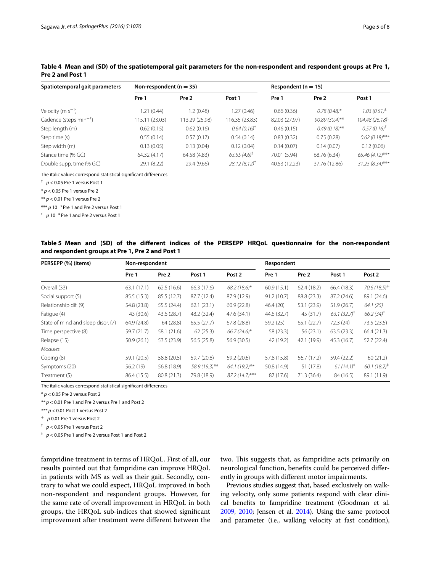| Spatiotemporal gait parameters | Non-respondent ( $n = 35$ ) |                |                           | Respondent ( $n = 15$ ) |                 |                         |  |  |
|--------------------------------|-----------------------------|----------------|---------------------------|-------------------------|-----------------|-------------------------|--|--|
|                                | Pre 1                       | Pre 2          | Post 1                    | Pre 1                   | Pre 2           | Post 1                  |  |  |
| Velocity ( $m s^{-1}$ )        | 1.21 (0.44)                 | 1.2(0.48)      | 1.27 (0.46)               | 0.66(0.36)              | $0.78(0.48)$ *  | $1.03(0.51)^{\text{L}}$ |  |  |
| Cadence (steps $min^{-1}$ )    | 115.11 (23.03)              | 113.29 (25.98) | 116.35 (23.83)            | 82.03 (27.97)           | 90.89 (30.4)**  | $104.48(26.18)^{E}$     |  |  |
| Step length (m)                | 0.62(0.15)                  | 0.62(0.16)     | $0.64(0.16)^{\dagger}$    | 0.46(0.15)              | $0.49(0.18)$ ** | $0.57(0.16)^{\text{t}}$ |  |  |
| Step time (s)                  | 0.55(0.14)                  | 0.57(0.17)     | 0.54(0.14)                | 0.83(0.32)              | 0.75(0.28)      | $0.62(0.18)$ ***        |  |  |
| Step width (m)                 | 0.13(0.05)                  | 0.13(0.04)     | 0.12(0.04)                | 0.14(0.07)              | 0.14(0.07)      | 0.12(0.06)              |  |  |
| Stance time (% GC)             | 64.32 (4.17)                | 64.58 (4.83)   | $63.55(4.6)$ <sup>†</sup> | 70.01 (5.94)            | 68.76 (6.34)    | 65.46 (4.12)***         |  |  |
| Double supp. time (% GC)       | 29.1 (8.22)                 | 29.4 (9.66)    | $28.12(8.12)^{†}$         | 40.53 (12.23)           | 37.76 (12.86)   | $31.25(8.34)$ ***       |  |  |

<span id="page-4-0"></span>**Table 4 Mean and (SD) of the spatiotemporal gait parameters for the non-respondent and respondent groups at Pre 1, Pre 2 and Post 1**

The italic values correspond statistical significant differences

† *p* < 0.05 Pre 1 versus Post 1

\* *p* < 0.05 Pre 1 versus Pre 2

\*\* *p* < 0.01 Pre 1 versus Pre 2

\*\*\* *p* 10−<sup>3</sup> Pre 1 and Pre 2 versus Post 1

£ *p* 10−<sup>4</sup> Pre 1 and Pre 2 versus Post 1

<span id="page-4-1"></span>

|                                                  |  |  |  |  |  |  | Table 5 Mean and (SD) of the different indices of the PERSEPP HRQoL questionnaire for the non-respondent |
|--------------------------------------------------|--|--|--|--|--|--|----------------------------------------------------------------------------------------------------------|
| and respondent groups at Pre 1, Pre 2 and Post 1 |  |  |  |  |  |  |                                                                                                          |

| PERSEPP (%) (items)                | Non-respondent |             |               |                  | Respondent  |             |                       |                           |  |
|------------------------------------|----------------|-------------|---------------|------------------|-------------|-------------|-----------------------|---------------------------|--|
|                                    | Pre 1          | Pre 2       | Post 1        | Post 2           | Pre 1       | Pre 2       | Post 1                | Post 2                    |  |
| Overall (33)                       | 63.1(17.1)     | 62.5(16.6)  | 66.3 (17.6)   | $68.2(18.6)$ *   | 60.9(15.1)  | 62.4(18.2)  | 66.4(18.3)            | $70.6(18.5)$ <sup>+</sup> |  |
| Social support (5)                 | 85.5 (15.3)    | 85.5 (12.7) | 87.7 (12.4)   | 87.9 (12.9)      | 91.2(10.7)  | 88.8 (23.3) | 87.2 (24.6)           | 89.1 (24.6)               |  |
| Relationship dif. (9)              | 54.8 (23.8)    | 55.5(24.4)  | 62.1(23.1)    | 60.9(22.8)       | 46.4(20)    | 53.1 (23.9) | 51.9(26.7)            | 64.1 $(25)^{\dagger}$     |  |
| Fatigue (4)                        | 43 (30.6)      | 43.6 (28.7) | 48.2 (32.4)   | 47.6 (34.1)      | 44.6 (32.7) | 45 (31.7)   | $63.1 (32.7)^{4}$     | $66.2(34)^{4}$            |  |
| State of mind and sleep disor. (7) | 64.9 (24.8)    | 64 (28.8)   | 65.5(27.7)    | 67.8(28.8)       | 59.2(25)    | 65.1(22.7)  | 72.3(24)              | 73.5 (23.5)               |  |
| Time perspective (8)               | 59.7 (21.7)    | 58.1 (21.6) | 62(25.3)      | $66.7(24.6)$ *   | 58 (23.3)   | 56(23.1)    | 63.5(23.3)            | 66.4(21.3)                |  |
| Relapse (15)                       | 50.9(26.1)     | 53.5 (23.9) | 56.5 (25.8)   | 56.9 (30.5)      | 42 (19.2)   | 42.1 (19.9) | 45.3(16.7)            | 52.7(22.4)                |  |
| <b>Modules</b>                     |                |             |               |                  |             |             |                       |                           |  |
| Coping (8)                         | 59.1 (20.5)    | 58.8 (20.5) | 59.7 (20.8)   | 59.2 (20.6)      | 57.8 (15.8) | 56.7 (17.2) | 59.4 (22.2)           | 60(21.2)                  |  |
| Symptoms (20)                      | 56.2(19)       | 56.8 (18.9) | 58.9 (19.3)** | $64.1(19.2)$ **  | 50.8 (14.9) | 51 (17.8)   | $61(14.1)^{\ddagger}$ | $60.1(18.2)^{4}$          |  |
| Treatment (5)                      | 86.4 (15.5)    | 80.8 (21.3) | 79.8 (18.9)   | $87.2(14.7)$ *** | 87 (17.6)   | 71.3(36.4)  | 84 (16.5)             | 89.1 (11.9)               |  |

The italic values correspond statistical significant differences

\* *p* < 0.05 Pre 2 versus Post 2

*\*\* p* < 0.01 Pre 1 and Pre 2 versus Pre 1 and Post 2

*\*\*\* p* < 0.01 Post 1 versus Post 2

<sup>+</sup> *p* 0.01 Pre 1 versus Post 2

† *p* < 0.05 Pre 1 versus Post 2

‡ *p* < 0.05 Pre 1 and Pre 2 versus Post 1 and Post 2

fampridine treatment in terms of HRQoL. First of all, our results pointed out that fampridine can improve HRQoL in patients with MS as well as their gait. Secondly, contrary to what we could expect, HRQoL improved in both non-respondent and respondent groups. However, for the same rate of overall improvement in HRQoL in both groups, the HRQoL sub-indices that showed significant improvement after treatment were different between the two. This suggests that, as fampridine acts primarily on neurological function, benefits could be perceived differently in groups with different motor impairments.

Previous studies suggest that, based exclusively on walking velocity, only some patients respond with clear clinical benefits to fampridine treatment (Goodman et al. [2009,](#page-7-5) [2010;](#page-7-6) Jensen et al. [2014](#page-7-8)). Using the same protocol and parameter (i.e., walking velocity at fast condition),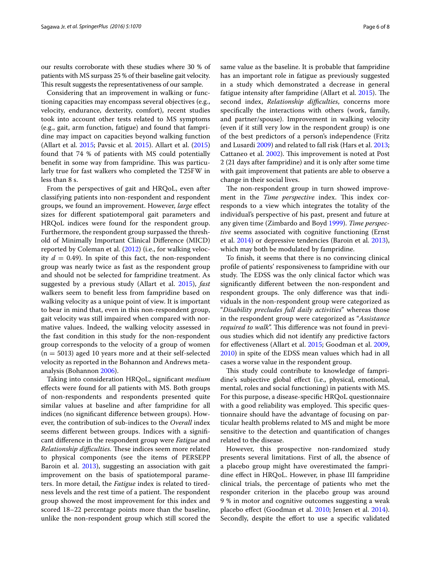our results corroborate with these studies where 30 % of patients with MS surpass 25 % of their baseline gait velocity. This result suggests the representativeness of our sample.

Considering that an improvement in walking or functioning capacities may encompass several objectives (e.g., velocity, endurance, dexterity, comfort), recent studies took into account other tests related to MS symptoms (e.g., gait, arm function, fatigue) and found that fampridine may impact on capacities beyond walking function (Allart et al. [2015;](#page-6-2) Pavsic et al. [2015](#page-7-14)). Allart et al. ([2015](#page-6-2)) found that 74 % of patients with MS could potentially benefit in some way from fampridine. This was particularly true for fast walkers who completed the T25FW in less than 8 s.

From the perspectives of gait and HRQoL, even after classifying patients into non-respondent and respondent groups, we found an improvement. However, *large* effect sizes for different spatiotemporal gait parameters and HRQoL indices were found for the respondent group. Furthermore, the respondent group surpassed the threshold of Minimally Important Clinical Difference (MICD) reported by Coleman et al. [\(2012\)](#page-6-5) (i.e., for walking velocity  $d = 0.49$ ). In spite of this fact, the non-respondent group was nearly twice as fast as the respondent group and should not be selected for fampridine treatment. As suggested by a previous study (Allart et al. [2015](#page-6-2)), *fast* walkers seem to benefit less from fampridine based on walking velocity as a unique point of view. It is important to bear in mind that, even in this non-respondent group, gait velocity was still impaired when compared with normative values. Indeed, the walking velocity assessed in the fast condition in this study for the non-respondent group corresponds to the velocity of a group of women  $(n = 5013)$  aged 10 years more and at their self-selected velocity as reported in the Bohannon and Andrews metaanalysis (Bohannon [2006\)](#page-6-7).

Taking into consideration HRQoL, significant *medium* effects were found for all patients with MS. Both groups of non-respondents and respondents presented quite similar values at baseline and after fampridine for all indices (no significant difference between groups). However, the contribution of sub-indices to the *Overall* index seems different between groups. Indices with a significant difference in the respondent group were *Fatigue* and *Relationship difficulties*. These indices seem more related to physical components (see the items of PERSEPP Baroin et al. [2013](#page-6-4)), suggesting an association with gait improvement on the basis of spatiotemporal parameters. In more detail, the *Fatigue* index is related to tiredness levels and the rest time of a patient. The respondent group showed the most improvement for this index and scored 18–22 percentage points more than the baseline, unlike the non-respondent group which still scored the same value as the baseline. It is probable that fampridine has an important role in fatigue as previously suggested in a study which demonstrated a decrease in general fatigue intensity after fampridine (Allart et al. [2015\)](#page-6-2). The second index, *Relationship difficulties*, concerns more specifically the interactions with others (work, family, and partner/spouse). Improvement in walking velocity (even if it still very low in the respondent group) is one of the best predictors of a person's independence (Fritz and Lusardi [2009\)](#page-6-8) and related to fall risk (Hars et al. [2013](#page-7-15); Cattaneo et al. [2002\)](#page-6-9). This improvement is noted at Post 2 (21 days after fampridine) and it is only after some time with gait improvement that patients are able to observe a change in their social lives.

The non-respondent group in turn showed improvement in the *Time perspective* index. This index corresponds to a view which integrates the totality of the individual's perspective of his past, present and future at any given time (Zimbardo and Boyd [1999](#page-7-16)). *Time perspective* seems associated with cognitive functioning (Ernst et al. [2014](#page-6-10)) or depressive tendencies (Baroin et al. [2013](#page-6-4)), which may both be modulated by fampridine.

To finish, it seems that there is no convincing clinical profile of patients' responsiveness to fampridine with our study. The EDSS was the only clinical factor which was significantly different between the non-respondent and respondent groups. The only difference was that individuals in the non-respondent group were categorized as "*Disability precludes full daily activities*" whereas those in the respondent group were categorized as "*Assistance required to walk*". This difference was not found in previous studies which did not identify any predictive factors for effectiveness (Allart et al. [2015](#page-6-2); Goodman et al. [2009](#page-7-5), [2010](#page-7-6)) in spite of the EDSS mean values which had in all cases a worse value in the respondent group.

This study could contribute to knowledge of fampridine's subjective global effect (i.e., physical, emotional, mental, roles and social functioning) in patients with MS. For this purpose, a disease-specific HRQoL questionnaire with a good reliability was employed. This specific questionnaire should have the advantage of focusing on particular health problems related to MS and might be more sensitive to the detection and quantification of changes related to the disease.

However, this prospective non-randomized study presents several limitations. First of all, the absence of a placebo group might have overestimated the fampridine effect in HRQoL. However, in phase III fampridine clinical trials, the percentage of patients who met the responder criterion in the placebo group was around 9 % in motor and cognitive outcomes suggesting a weak placebo effect (Goodman et al. [2010](#page-7-6); Jensen et al. [2014](#page-7-7)). Secondly, despite the effort to use a specific validated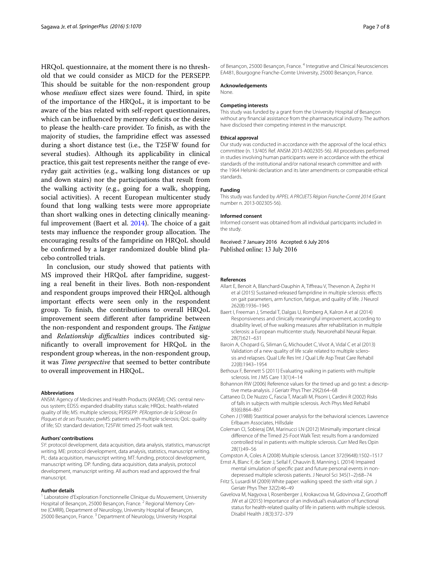HRQoL questionnaire, at the moment there is no threshold that we could consider as MICD for the PERSEPP. This should be suitable for the non-respondent group whose *medium* effect sizes were found. Third, in spite of the importance of the HRQoL, it is important to be aware of the bias related with self-report questionnaires, which can be influenced by memory deficits or the desire to please the health-care provider. To finish, as with the majority of studies, the fampridine effect was assessed during a short distance test (i.e., the T25FW found for several studies). Although its applicability in clinical practice, this gait test represents neither the range of everyday gait activities (e.g., walking long distances or up and down stairs) nor the participations that result from the walking activity (e.g., going for a walk, shopping, social activities). A recent European multicenter study found that long walking tests were more appropriate than short walking ones in detecting clinically meaningful improvement (Baert et al. [2014](#page-6-11)). The choice of a gait tests may influence the responder group allocation. The encouraging results of the fampridine on HRQoL should be confirmed by a larger randomized double blind placebo controlled trials.

In conclusion, our study showed that patients with MS improved their HRQoL after fampridine, suggesting a real benefit in their lives. Both non-respondent and respondent groups improved their HRQoL although important effects were seen only in the respondent group. To finish, the contributions to overall HRQoL improvement seem different after fampridine between the non-respondent and respondent groups. The *Fatigue* and *Relationship difficulties* indices contributed significantly to overall improvement for HRQoL in the respondent group whereas, in the non-respondent group, it was *Time perspective* that seemed to better contribute to overall improvement in HRQoL.

### **Abbreviations**

ANSM: Agency of Medicines and Health Products (ANSM); CNS: central nervous system; EDSS: expanded disability status scale; HRQoL: health-related quality of life; MS: multiple sclerosis; PERSEPP: *PERception de la Sclérose En Plaques et de ses Poussées*; pwMS: patients with multiple sclerosis; QoL: quality of life; SD: standard deviation; T25FW: timed 25-foot walk test.

### **Authors' contributions**

SY: protocol development, data acquisition, data analysis, statistics, manuscript writing. ME: protocol development, data analysis, statistics, manuscript writing. PL: data acquisition, manuscript writing. MT: funding, protocol development, manuscript writing. DP: funding, data acquisition, data analysis, protocol development, manuscript writing. All authors read and approved the final manuscript.

## **Author details**

<sup>1</sup> Laboratoire d'Exploration Fonctionnelle Clinique du Mouvement, University Hospital of Besançon, 25000 Besançon, France.<sup>2</sup> Regional Memory Centre (CMRR), Department of Neurology, University Hospital of Besançon, 25000 Besançon, France. 3 Department of Neurology, University Hospital

of Besançon, 25000 Besançon, France. <sup>4</sup> Integrative and Clinical Neurosciences EA481, Bourgogne Franche-Comte University, 25000 Besançon, France.

# **Acknowledgements**

None.

#### **Competing interests**

This study was funded by a grant from the University Hospital of Besançon without any financial assistance from the pharmaceutical industry. The authors have disclosed their competing interest in the manuscript.

#### **Ethical approval**

Our study was conducted in accordance with the approval of the local ethics committee (n. 13/405 Ref. ANSM 2013-A002305-56). All procedures performed in studies involving human participants were in accordance with the ethical standards of the institutional and/or national research committee and with the 1964 Helsinki declaration and its later amendments or comparable ethical standards.

## **Funding**

This study was funded by *APPEL A PROJETS Région Franche*-*Comté 2014* (Grant number n. 2013-002305-56).

#### **Informed consent**

Informed consent was obtained from all individual participants included in the study.

Received: 7 January 2016 Accepted: 6 July 2016 Published online: 13 July 2016

#### **References**

- <span id="page-6-2"></span>Allart E, Benoit A, Blanchard-Dauphin A, Tiffreau V, Thevenon A, Zephir H et al (2015) Sustained-released fampridine in multiple sclerosis: effects on gait parameters, arm function, fatigue, and quality of life. J Neurol 262(8):1936–1945
- <span id="page-6-11"></span>Baert I, Freeman J, Smedal T, Dalgas U, Romberg A, Kalron A et al (2014) Responsiveness and clinically meaningful improvement, according to disability level, of five walking measures after rehabilitation in multiple sclerosis: a European multicenter study. Neurorehabil Neural Repair. 28(7):621–631
- <span id="page-6-4"></span>Baroin A, Chopard G, Siliman G, Michoudet C, Vivot A, Vidal C et al (2013) Validation of a new quality of life scale related to multiple sclerosis and relapses. Qual Life Res Int J Qual Life Asp Treat Care Rehabil 22(8):1943–1954
- <span id="page-6-1"></span>Bethoux F, Bennett S (2011) Evaluating walking in patients with multiple sclerosis. Int J MS Care 13(1):4–14
- <span id="page-6-7"></span>Bohannon RW (2006) Reference values for the timed up and go test: a descriptive meta-analysis. J Geriatr Phys Ther 29(2):64–68
- <span id="page-6-9"></span>Cattaneo D, De Nuzzo C, Fascia T, Macalli M, Pisoni I, Cardini R (2002) Risks of falls in subjects with multiple sclerosis. Arch Phys Med Rehabil 83(6):864–867
- <span id="page-6-6"></span>Cohen J (1988) Stastitical power analysis for the behavioral sciences. Lawrence Erlbaum Associates, Hillsdale
- <span id="page-6-5"></span>Coleman CI, Sobieraj DM, Marinucci LN (2012) Minimally important clinical difference of the Timed 25-Foot Walk Test: results from a randomized controlled trial in patients with multiple sclerosis. Curr Med Res Opin 28(1):49–56

<span id="page-6-10"></span><span id="page-6-0"></span>Compston A, Coles A (2008) Multiple sclerosis. Lancet 372(9648):1502–1517 Ernst A, Blanc F, de Seze J, Sellal F, Chauvin B, Manning L (2014) Impaired mental simulation of specific past and future personal events in non-

- depressed multiple sclerosis patients. J Neurol Sci 345(1–2):68–74 Fritz S, Lusardi M (2009) White paper: walking speed: the sixth vital sign. J
- <span id="page-6-8"></span>Geriatr Phys Ther 32(2):46–49
- <span id="page-6-3"></span>Gavelova M, Nagyova I, Rosenberger J, Krokavcova M, Gdovinova Z, Groothoff JW et al (2015) Importance of an individual's evaluation of functional status for health-related quality of life in patients with multiple sclerosis. Disabil Health J 8(3):372–379